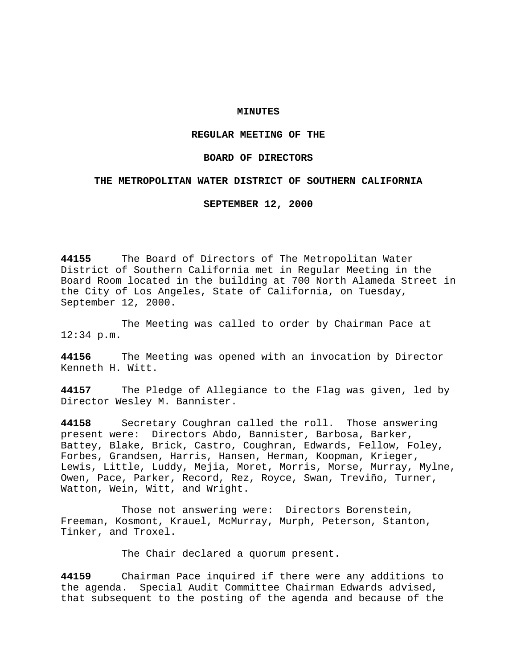### **MINUTES**

# **REGULAR MEETING OF THE**

### **BOARD OF DIRECTORS**

# **THE METROPOLITAN WATER DISTRICT OF SOUTHERN CALIFORNIA**

**SEPTEMBER 12, 2000**

**44155** The Board of Directors of The Metropolitan Water District of Southern California met in Regular Meeting in the Board Room located in the building at 700 North Alameda Street in the City of Los Angeles, State of California, on Tuesday, September 12, 2000.

The Meeting was called to order by Chairman Pace at 12:34 p.m.

**44156** The Meeting was opened with an invocation by Director Kenneth H. Witt.

**44157** The Pledge of Allegiance to the Flag was given, led by Director Wesley M. Bannister.

**44158** Secretary Coughran called the roll. Those answering present were: Directors Abdo, Bannister, Barbosa, Barker, Battey, Blake, Brick, Castro, Coughran, Edwards, Fellow, Foley, Forbes, Grandsen, Harris, Hansen, Herman, Koopman, Krieger, Lewis, Little, Luddy, Mejia, Moret, Morris, Morse, Murray, Mylne, Owen, Pace, Parker, Record, Rez, Royce, Swan, Treviño, Turner, Watton, Wein, Witt, and Wright.

Those not answering were: Directors Borenstein, Freeman, Kosmont, Krauel, McMurray, Murph, Peterson, Stanton, Tinker, and Troxel.

The Chair declared a quorum present.

**44159** Chairman Pace inquired if there were any additions to the agenda. Special Audit Committee Chairman Edwards advised, that subsequent to the posting of the agenda and because of the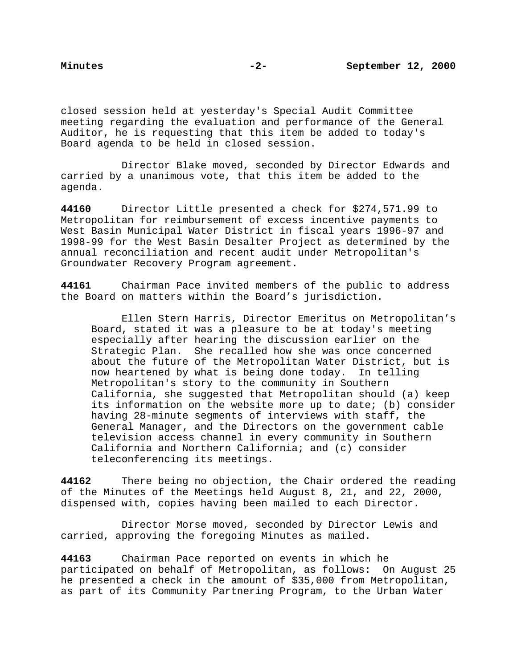closed session held at yesterday's Special Audit Committee meeting regarding the evaluation and performance of the General Auditor, he is requesting that this item be added to today's Board agenda to be held in closed session.

Director Blake moved, seconded by Director Edwards and carried by a unanimous vote, that this item be added to the agenda.

**44160** Director Little presented a check for \$274,571.99 to Metropolitan for reimbursement of excess incentive payments to West Basin Municipal Water District in fiscal years 1996-97 and 1998-99 for the West Basin Desalter Project as determined by the annual reconciliation and recent audit under Metropolitan's Groundwater Recovery Program agreement.

**44161** Chairman Pace invited members of the public to address the Board on matters within the Board's jurisdiction.

Ellen Stern Harris, Director Emeritus on Metropolitan's Board, stated it was a pleasure to be at today's meeting especially after hearing the discussion earlier on the Strategic Plan. She recalled how she was once concerned about the future of the Metropolitan Water District, but is now heartened by what is being done today. In telling Metropolitan's story to the community in Southern California, she suggested that Metropolitan should (a) keep its information on the website more up to date; (b) consider having 28-minute segments of interviews with staff, the General Manager, and the Directors on the government cable television access channel in every community in Southern California and Northern California; and (c) consider teleconferencing its meetings.

**44162** There being no objection, the Chair ordered the reading of the Minutes of the Meetings held August 8, 21, and 22, 2000, dispensed with, copies having been mailed to each Director.

Director Morse moved, seconded by Director Lewis and carried, approving the foregoing Minutes as mailed.

**44163** Chairman Pace reported on events in which he participated on behalf of Metropolitan, as follows: On August 25 he presented a check in the amount of \$35,000 from Metropolitan, as part of its Community Partnering Program, to the Urban Water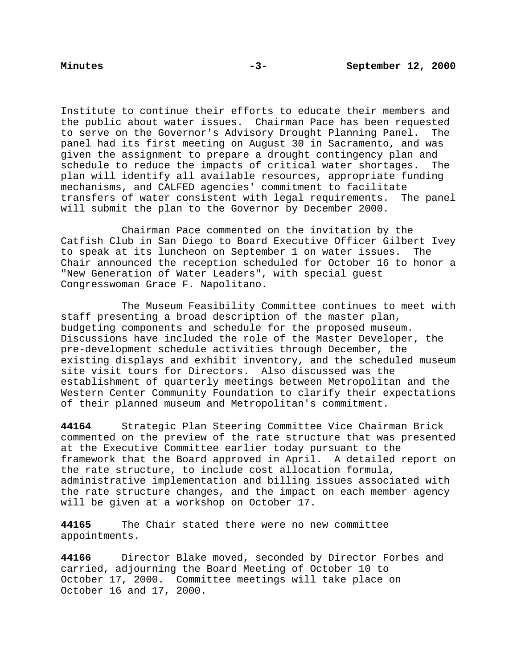Institute to continue their efforts to educate their members and the public about water issues. Chairman Pace has been requested to serve on the Governor's Advisory Drought Planning Panel. The panel had its first meeting on August 30 in Sacramento, and was given the assignment to prepare a drought contingency plan and schedule to reduce the impacts of critical water shortages. The plan will identify all available resources, appropriate funding mechanisms, and CALFED agencies' commitment to facilitate transfers of water consistent with legal requirements. The panel will submit the plan to the Governor by December 2000.

Chairman Pace commented on the invitation by the Catfish Club in San Diego to Board Executive Officer Gilbert Ivey to speak at its luncheon on September 1 on water issues. The Chair announced the reception scheduled for October 16 to honor a "New Generation of Water Leaders", with special guest Congresswoman Grace F. Napolitano.

The Museum Feasibility Committee continues to meet with staff presenting a broad description of the master plan, budgeting components and schedule for the proposed museum. Discussions have included the role of the Master Developer, the pre-development schedule activities through December, the existing displays and exhibit inventory, and the scheduled museum site visit tours for Directors. Also discussed was the establishment of quarterly meetings between Metropolitan and the Western Center Community Foundation to clarify their expectations of their planned museum and Metropolitan's commitment.

**44164** Strategic Plan Steering Committee Vice Chairman Brick commented on the preview of the rate structure that was presented at the Executive Committee earlier today pursuant to the framework that the Board approved in April. A detailed report on the rate structure, to include cost allocation formula, administrative implementation and billing issues associated with the rate structure changes, and the impact on each member agency will be given at a workshop on October 17.

**44165** The Chair stated there were no new committee appointments.

**44166** Director Blake moved, seconded by Director Forbes and carried, adjourning the Board Meeting of October 10 to October 17, 2000. Committee meetings will take place on October 16 and 17, 2000.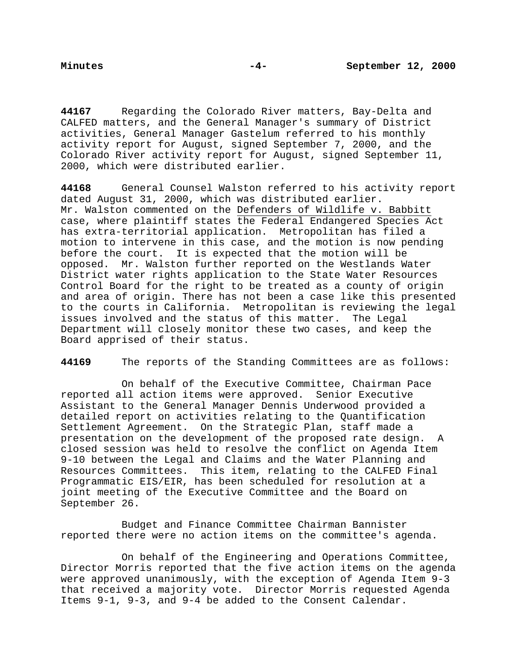**44167** Regarding the Colorado River matters, Bay-Delta and CALFED matters, and the General Manager's summary of District activities, General Manager Gastelum referred to his monthly activity report for August, signed September 7, 2000, and the Colorado River activity report for August, signed September 11, 2000, which were distributed earlier.

**44168** General Counsel Walston referred to his activity report dated August 31, 2000, which was distributed earlier. Mr. Walston commented on the Defenders of Wildlife v. Babbitt case, where plaintiff states the Federal Endangered Species Act has extra-territorial application. Metropolitan has filed a motion to intervene in this case, and the motion is now pending before the court. It is expected that the motion will be opposed. Mr. Walston further reported on the Westlands Water District water rights application to the State Water Resources Control Board for the right to be treated as a county of origin and area of origin. There has not been a case like this presented to the courts in California. Metropolitan is reviewing the legal issues involved and the status of this matter. The Legal Department will closely monitor these two cases, and keep the Board apprised of their status.

**44169** The reports of the Standing Committees are as follows:

On behalf of the Executive Committee, Chairman Pace reported all action items were approved. Senior Executive Assistant to the General Manager Dennis Underwood provided a detailed report on activities relating to the Quantification Settlement Agreement. On the Strategic Plan, staff made a presentation on the development of the proposed rate design. A closed session was held to resolve the conflict on Agenda Item 9-10 between the Legal and Claims and the Water Planning and Resources Committees. This item, relating to the CALFED Final Programmatic EIS/EIR, has been scheduled for resolution at a joint meeting of the Executive Committee and the Board on September 26.

Budget and Finance Committee Chairman Bannister reported there were no action items on the committee's agenda.

On behalf of the Engineering and Operations Committee, Director Morris reported that the five action items on the agenda were approved unanimously, with the exception of Agenda Item 9-3 that received a majority vote. Director Morris requested Agenda Items 9-1, 9-3, and 9-4 be added to the Consent Calendar.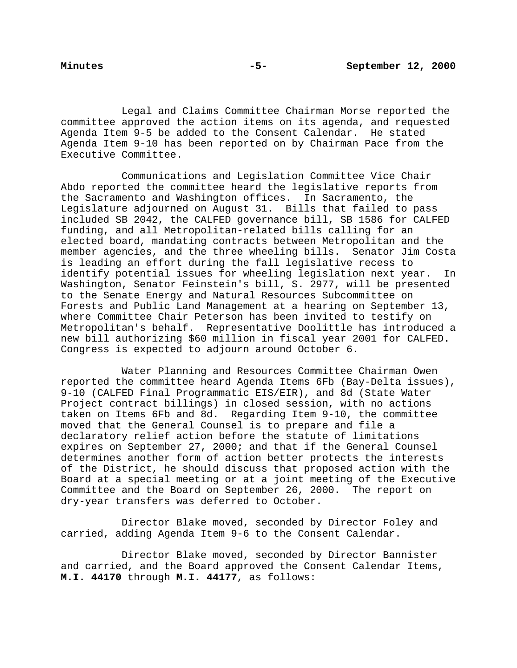Legal and Claims Committee Chairman Morse reported the committee approved the action items on its agenda, and requested Agenda Item 9-5 be added to the Consent Calendar. He stated Agenda Item 9-10 has been reported on by Chairman Pace from the Executive Committee.

Communications and Legislation Committee Vice Chair Abdo reported the committee heard the legislative reports from the Sacramento and Washington offices. In Sacramento, the Legislature adjourned on August 31. Bills that failed to pass included SB 2042, the CALFED governance bill, SB 1586 for CALFED funding, and all Metropolitan-related bills calling for an elected board, mandating contracts between Metropolitan and the member agencies, and the three wheeling bills. Senator Jim Costa is leading an effort during the fall legislative recess to identify potential issues for wheeling legislation next year. In Washington, Senator Feinstein's bill, S. 2977, will be presented to the Senate Energy and Natural Resources Subcommittee on Forests and Public Land Management at a hearing on September 13, where Committee Chair Peterson has been invited to testify on Metropolitan's behalf. Representative Doolittle has introduced a new bill authorizing \$60 million in fiscal year 2001 for CALFED. Congress is expected to adjourn around October 6.

Water Planning and Resources Committee Chairman Owen reported the committee heard Agenda Items 6Fb (Bay-Delta issues), 9-10 (CALFED Final Programmatic EIS/EIR), and 8d (State Water Project contract billings) in closed session, with no actions taken on Items 6Fb and 8d. Regarding Item 9-10, the committee moved that the General Counsel is to prepare and file a declaratory relief action before the statute of limitations expires on September 27, 2000; and that if the General Counsel determines another form of action better protects the interests of the District, he should discuss that proposed action with the Board at a special meeting or at a joint meeting of the Executive Committee and the Board on September 26, 2000. The report on dry-year transfers was deferred to October.

Director Blake moved, seconded by Director Foley and carried, adding Agenda Item 9-6 to the Consent Calendar.

Director Blake moved, seconded by Director Bannister and carried, and the Board approved the Consent Calendar Items, **M.I. 44170** through **M.I. 44177**, as follows: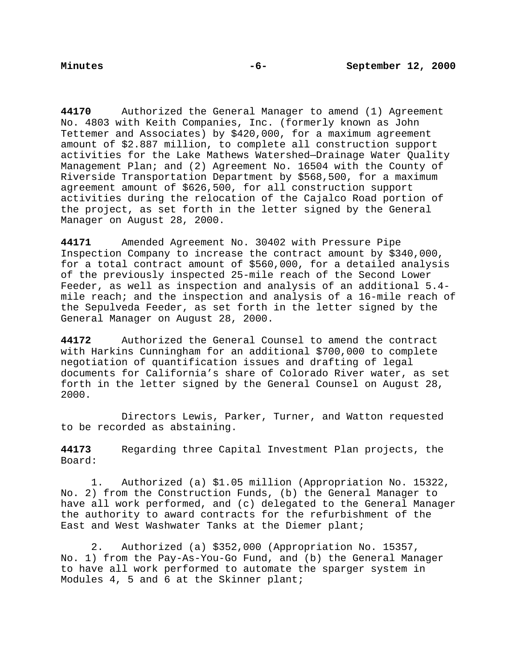**44170** Authorized the General Manager to amend (1) Agreement No. 4803 with Keith Companies, Inc. (formerly known as John Tettemer and Associates) by \$420,000, for a maximum agreement amount of \$2.887 million, to complete all construction support activities for the Lake Mathews Watershed—Drainage Water Quality Management Plan; and (2) Agreement No. 16504 with the County of Riverside Transportation Department by \$568,500, for a maximum agreement amount of \$626,500, for all construction support activities during the relocation of the Cajalco Road portion of the project, as set forth in the letter signed by the General Manager on August 28, 2000.

**44171** Amended Agreement No. 30402 with Pressure Pipe Inspection Company to increase the contract amount by \$340,000, for a total contract amount of \$560,000, for a detailed analysis of the previously inspected 25-mile reach of the Second Lower Feeder, as well as inspection and analysis of an additional 5.4 mile reach; and the inspection and analysis of a 16-mile reach of the Sepulveda Feeder, as set forth in the letter signed by the General Manager on August 28, 2000.

**44172** Authorized the General Counsel to amend the contract with Harkins Cunningham for an additional \$700,000 to complete negotiation of quantification issues and drafting of legal documents for California's share of Colorado River water, as set forth in the letter signed by the General Counsel on August 28, 2000.

Directors Lewis, Parker, Turner, and Watton requested to be recorded as abstaining.

**44173** Regarding three Capital Investment Plan projects, the Board:

1. Authorized (a) \$1.05 million (Appropriation No. 15322, No. 2) from the Construction Funds, (b) the General Manager to have all work performed, and (c) delegated to the General Manager the authority to award contracts for the refurbishment of the East and West Washwater Tanks at the Diemer plant;

2. Authorized (a) \$352,000 (Appropriation No. 15357, No. 1) from the Pay-As-You-Go Fund, and (b) the General Manager to have all work performed to automate the sparger system in Modules 4, 5 and 6 at the Skinner plant;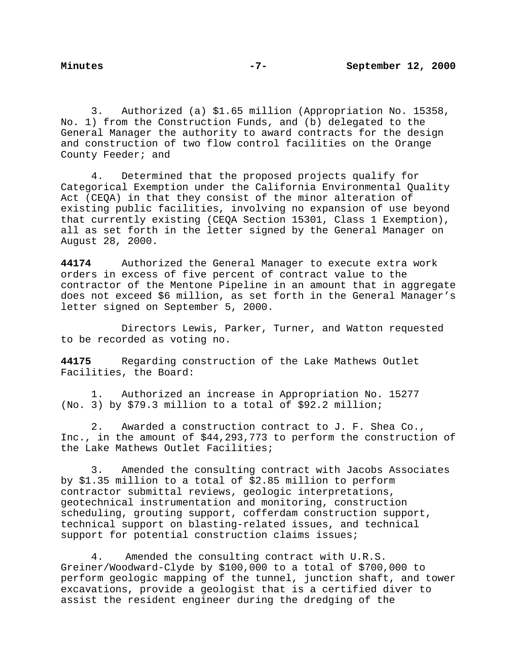3. Authorized (a) \$1.65 million (Appropriation No. 15358, No. 1) from the Construction Funds, and (b) delegated to the General Manager the authority to award contracts for the design and construction of two flow control facilities on the Orange County Feeder; and

4. Determined that the proposed projects qualify for Categorical Exemption under the California Environmental Quality Act (CEQA) in that they consist of the minor alteration of existing public facilities, involving no expansion of use beyond that currently existing (CEQA Section 15301, Class 1 Exemption), all as set forth in the letter signed by the General Manager on August 28, 2000.

**44174** Authorized the General Manager to execute extra work orders in excess of five percent of contract value to the contractor of the Mentone Pipeline in an amount that in aggregate does not exceed \$6 million, as set forth in the General Manager's letter signed on September 5, 2000.

Directors Lewis, Parker, Turner, and Watton requested to be recorded as voting no.

**44175** Regarding construction of the Lake Mathews Outlet Facilities, the Board:

1. Authorized an increase in Appropriation No. 15277 (No. 3) by \$79.3 million to a total of \$92.2 million;

2. Awarded a construction contract to J. F. Shea Co., Inc., in the amount of \$44,293,773 to perform the construction of the Lake Mathews Outlet Facilities;

3. Amended the consulting contract with Jacobs Associates by \$1.35 million to a total of \$2.85 million to perform contractor submittal reviews, geologic interpretations, geotechnical instrumentation and monitoring, construction scheduling, grouting support, cofferdam construction support, technical support on blasting-related issues, and technical support for potential construction claims issues;

4. Amended the consulting contract with U.R.S. Greiner/Woodward-Clyde by \$100,000 to a total of \$700,000 to perform geologic mapping of the tunnel, junction shaft, and tower excavations, provide a geologist that is a certified diver to assist the resident engineer during the dredging of the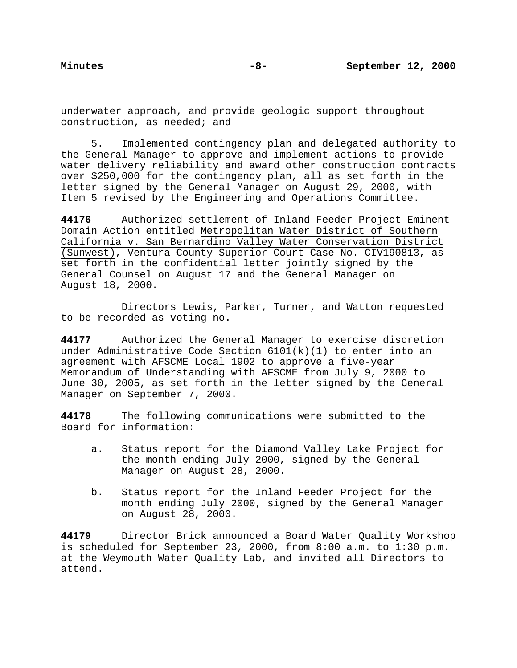underwater approach, and provide geologic support throughout construction, as needed; and

5. Implemented contingency plan and delegated authority to the General Manager to approve and implement actions to provide water delivery reliability and award other construction contracts over \$250,000 for the contingency plan, all as set forth in the letter signed by the General Manager on August 29, 2000, with Item 5 revised by the Engineering and Operations Committee.

**44176** Authorized settlement of Inland Feeder Project Eminent Domain Action entitled Metropolitan Water District of Southern California v. San Bernardino Valley Water Conservation District (Sunwest), Ventura County Superior Court Case No. CIV190813, as set forth in the confidential letter jointly signed by the General Counsel on August 17 and the General Manager on August 18, 2000.

Directors Lewis, Parker, Turner, and Watton requested to be recorded as voting no.

**44177** Authorized the General Manager to exercise discretion under Administrative Code Section  $6101(k)(1)$  to enter into an agreement with AFSCME Local 1902 to approve a five-year Memorandum of Understanding with AFSCME from July 9, 2000 to June 30, 2005, as set forth in the letter signed by the General Manager on September 7, 2000.

**44178** The following communications were submitted to the Board for information:

- a. Status report for the Diamond Valley Lake Project for the month ending July 2000, signed by the General Manager on August 28, 2000.
- b. Status report for the Inland Feeder Project for the month ending July 2000, signed by the General Manager on August 28, 2000.

**44179** Director Brick announced a Board Water Quality Workshop is scheduled for September 23, 2000, from 8:00 a.m. to 1:30 p.m. at the Weymouth Water Quality Lab, and invited all Directors to attend.